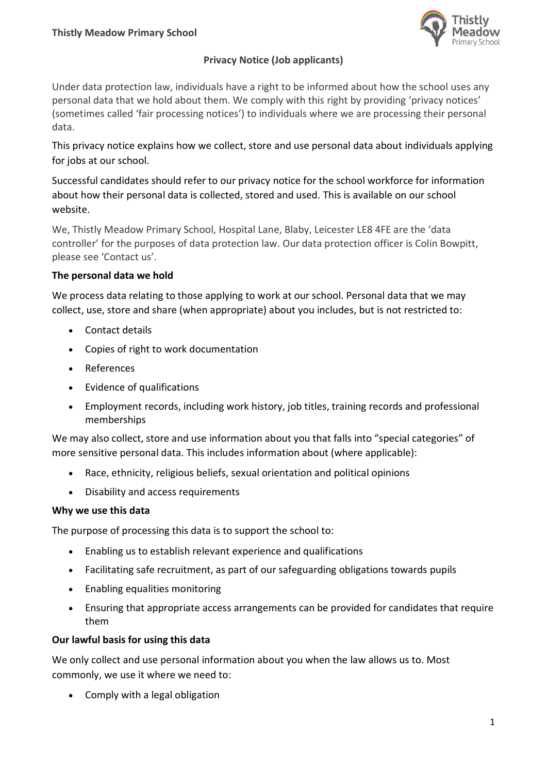

## **Privacy Notice (Job applicants)**

Under data protection law, individuals have a right to be informed about how the school uses any personal data that we hold about them. We comply with this right by providing 'privacy notices' (sometimes called 'fair processing notices') to individuals where we are processing their personal data.

This privacy notice explains how we collect, store and use personal data about individuals applying for jobs at our school.

Successful candidates should refer to our privacy notice for the school workforce for information about how their personal data is collected, stored and used. This is available on our school website.

We, Thistly Meadow Primary School, Hospital Lane, Blaby, Leicester LE8 4FE are the 'data controller' for the purposes of data protection law. Our data protection officer is Colin Bowpitt, please see 'Contact us'.

## **The personal data we hold**

We process data relating to those applying to work at our school. Personal data that we may collect, use, store and share (when appropriate) about you includes, but is not restricted to:

- Contact details
- Copies of right to work documentation
- References
- Evidence of qualifications
- Employment records, including work history, job titles, training records and professional memberships

We may also collect, store and use information about you that falls into "special categories" of more sensitive personal data. This includes information about (where applicable):

- Race, ethnicity, religious beliefs, sexual orientation and political opinions
- Disability and access requirements

## **Why we use this data**

The purpose of processing this data is to support the school to:

- Enabling us to establish relevant experience and qualifications
- Facilitating safe recruitment, as part of our safeguarding obligations towards pupils
- Enabling equalities monitoring
- Ensuring that appropriate access arrangements can be provided for candidates that require them

## **Our lawful basis for using this data**

We only collect and use personal information about you when the law allows us to. Most commonly, we use it where we need to:

• Comply with a legal obligation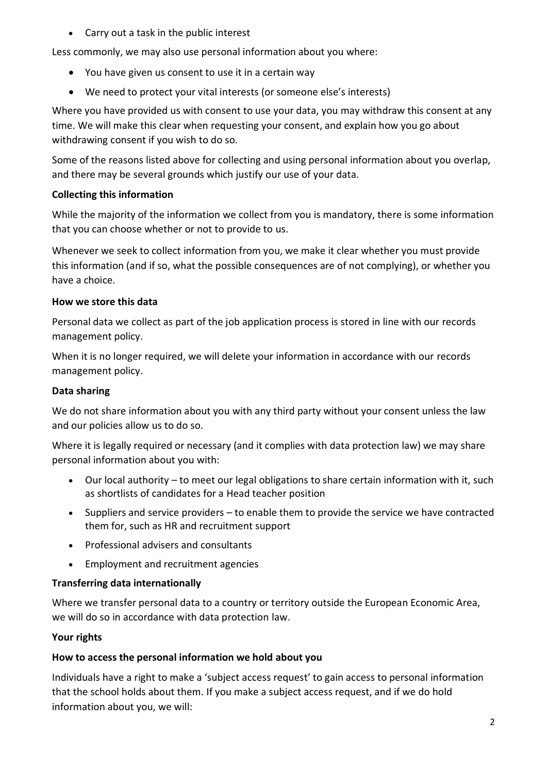Carry out a task in the public interest

Less commonly, we may also use personal information about you where:

- You have given us consent to use it in a certain way
- We need to protect your vital interests (or someone else's interests)

Where you have provided us with consent to use your data, you may withdraw this consent at any time. We will make this clear when requesting your consent, and explain how you go about withdrawing consent if you wish to do so.

Some of the reasons listed above for collecting and using personal information about you overlap, and there may be several grounds which justify our use of your data.

# **Collecting this information**

While the majority of the information we collect from you is mandatory, there is some information that you can choose whether or not to provide to us.

Whenever we seek to collect information from you, we make it clear whether you must provide this information (and if so, what the possible consequences are of not complying), or whether you have a choice.

# **How we store this data**

Personal data we collect as part of the job application process is stored in line with our records management policy.

When it is no longer required, we will delete your information in accordance with our records management policy.

# **Data sharing**

We do not share information about you with any third party without your consent unless the law and our policies allow us to do so.

Where it is legally required or necessary (and it complies with data protection law) we may share personal information about you with:

- Our local authority to meet our legal obligations to share certain information with it, such as shortlists of candidates for a Head teacher position
- Suppliers and service providers to enable them to provide the service we have contracted them for, such as HR and recruitment support
- Professional advisers and consultants
- Employment and recruitment agencies

# **Transferring data internationally**

Where we transfer personal data to a country or territory outside the European Economic Area, we will do so in accordance with data protection law.

# **Your rights**

# **How to access the personal information we hold about you**

Individuals have a right to make a 'subject access request' to gain access to personal information that the school holds about them. If you make a subject access request, and if we do hold information about you, we will: